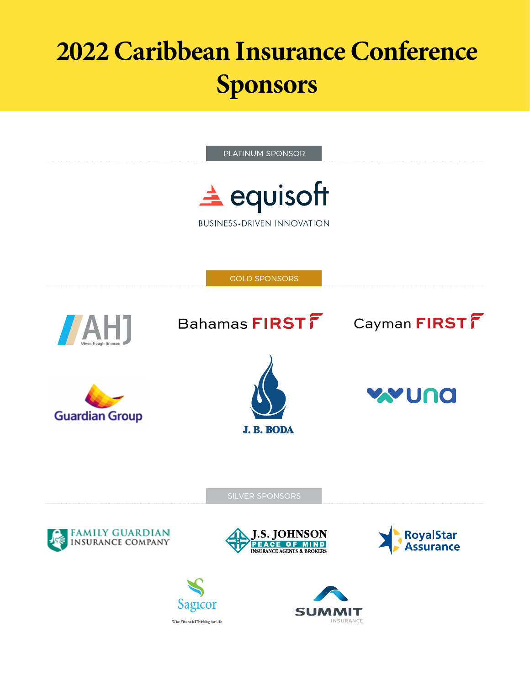# **2022 Caribbean Insurance Conference Sponsors**

PLATINUM SPONSOR

 $\triangle$  equisoft

**BUSINESS-DRIVEN INNOVATION** 

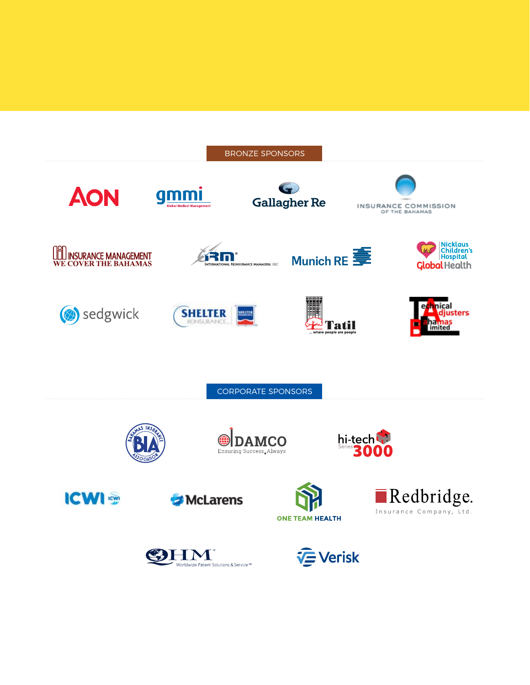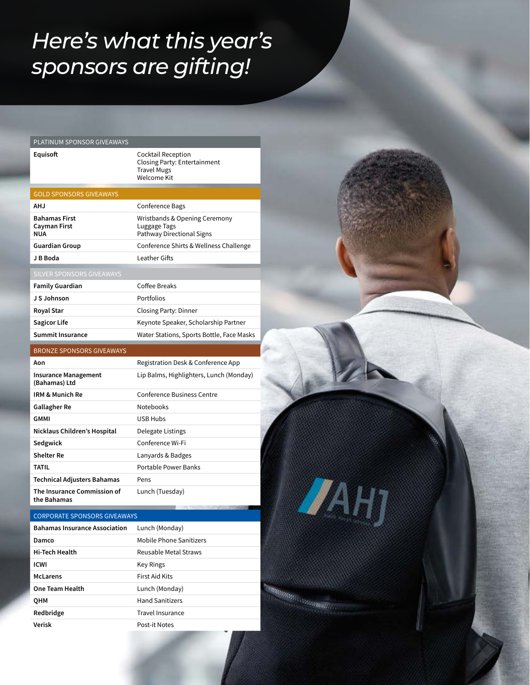### *Here's what this year's sponsors are gifting!*

| <b>PLATINUM SPONSOR GIVEAWAYS</b> |  |  |  |
|-----------------------------------|--|--|--|
|-----------------------------------|--|--|--|

**Equisoft** Cocktail Reception Closing Party: Entertainment Travel Mugs Welcome Kit

| <b>GOLD SPONSORS GIVEAWAYS</b>              |                                                                            |
|---------------------------------------------|----------------------------------------------------------------------------|
| AH.J                                        | Conference Bags                                                            |
| <b>Bahamas First</b><br>Cayman First<br>NUA | Wristbands & Opening Ceremony<br>Luggage Tags<br>Pathway Directional Signs |
| <b>Guardian Group</b>                       | Conference Shirts & Wellness Challenge                                     |
| J B Boda                                    | Leather Gifts                                                              |
| SILVER SPONSORS GIVEAWAYS                   |                                                                            |

| <b>Family Guardian</b>  | Coffee Breaks                             |
|-------------------------|-------------------------------------------|
| J S Johnson             | Portfolios                                |
| <b>Royal Star</b>       | Closing Party: Dinner                     |
| Sagicor Life            | Keynote Speaker, Scholarship Partner      |
| <b>Summit Insurance</b> | Water Stations, Sports Bottle, Face Masks |

### BRONZE SPONSORS GIVEAWAYS

| Aon                                          | Registration Desk & Conference App      |
|----------------------------------------------|-----------------------------------------|
| <b>Insurance Management</b><br>(Bahamas) Ltd | Lip Balms, Highlighters, Lunch (Monday) |
| IRM & Munich Re                              | <b>Conference Business Centre</b>       |
| Gallagher Re                                 | <b>Notebooks</b>                        |
| GMMI                                         | USB Hubs                                |
| Nicklaus Children's Hospital                 | Delegate Listings                       |
| Sedgwick                                     | Conference Wi-Fi                        |
| <b>Shelter Re</b>                            | Lanyards & Badges                       |
| TATIL                                        | Portable Power Banks                    |
| <b>Technical Adjusters Bahamas</b>           | Pens                                    |
| The Insurance Commission of<br>the Bahamas   | Lunch (Tuesday)                         |

#### CORPORATE SPONSORS GIVEAWAYS

| <b>Bahamas Insurance Association</b> | Lunch (Monday)          |
|--------------------------------------|-------------------------|
| Damco                                | Mobile Phone Sanitizers |
| <b>Hi-Tech Health</b>                | Reusable Metal Straws   |
| <b>ICWI</b>                          | Key Rings               |
| <b>McLarens</b>                      | First Aid Kits          |
| <b>One Team Health</b>               | Lunch (Monday)          |
| OHM                                  | <b>Hand Sanitizers</b>  |
| Redbridge                            | Travel Insurance        |
| Verisk                               | Post-it Notes           |

**JAHJ** 

Manager (1999)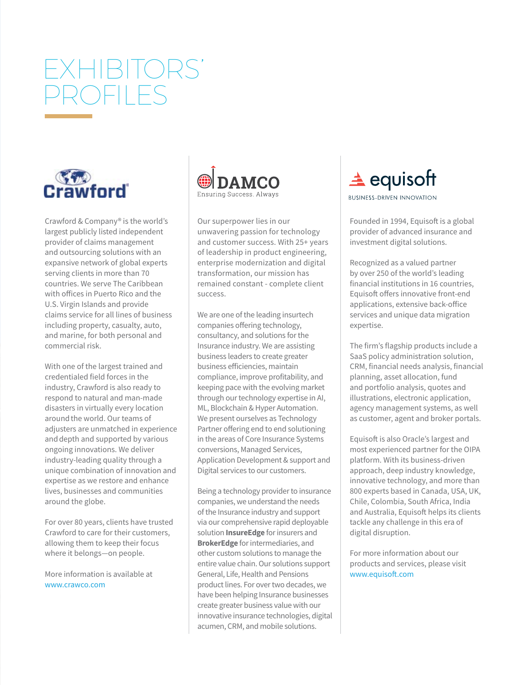# EXHIBITORS' PROFILES



Crawford & Company® is the world's largest publicly listed independent provider of claims management and outsourcing solutions with an expansive network of global experts serving clients in more than 70 countries. We serve The Caribbean with offices in Puerto Rico and the U.S. Virgin Islands and provide claims service for all lines of business including property, casualty, auto, and marine, for both personal and commercial risk.

With one of the largest trained and credentialed field forces in the industry, Crawford is also ready to respond to natural and man-made disasters in virtually every location around the world. Our teams of adjusters are unmatched in experience and depth and supported by various ongoing innovations. We deliver industry-leading quality through a unique combination of innovation and expertise as we restore and enhance lives, businesses and communities around the globe.

For over 80 years, clients have trusted Crawford to care for their customers, allowing them to keep their focus where it belongs—on people.

More information is available at www.crawco.com



Our superpower lies in our unwavering passion for technology and customer success. With 25+ years of leadership in product engineering, enterprise modernization and digital transformation, our mission has remained constant - complete client success.

We are one of the leading insurtech companies offering technology, consultancy, and solutions for the Insurance industry. We are assisting business leaders to create greater business efficiencies, maintain compliance, improve profitability, and keeping pace with the evolving market through our technology expertise in AI, ML, Blockchain & Hyper Automation. We present ourselves as Technology Partner offering end to end solutioning in the areas of Core Insurance Systems conversions, Managed Services, Application Development & support and Digital services to our customers.

Being a technology provider to insurance companies, we understand the needs of the Insurance industry and support via our comprehensive rapid deployable solution **InsureEdge** for insurers and **BrokerEdge** for intermediaries, and other custom solutions to manage the entire value chain. Our solutions support General, Life, Health and Pensions product lines. For over two decades, we have been helping Insurance businesses create greater business value with our innovative insurance technologies, digital acumen, CRM, and mobile solutions.

 $\triangle$  equisoft

**BUSINESS-DRIVEN INNOVATION** 

Founded in 1994, Equisoft is a global provider of advanced insurance and investment digital solutions.

Recognized as a valued partner by over 250 of the world's leading financial institutions in 16 countries, Equisoft offers innovative front-end applications, extensive back-office services and unique data migration expertise.

The firm's flagship products include a SaaS policy administration solution, CRM, financial needs analysis, financial planning, asset allocation, fund and portfolio analysis, quotes and illustrations, electronic application, agency management systems, as well as customer, agent and broker portals.

Equisoft is also Oracle's largest and most experienced partner for the OIPA platform. With its business-driven approach, deep industry knowledge, innovative technology, and more than 800 experts based in Canada, USA, UK, Chile, Colombia, South Africa, India and Australia, Equisoft helps its clients tackle any challenge in this era of digital disruption.

For more information about our products and services, please visit www.equisoft.com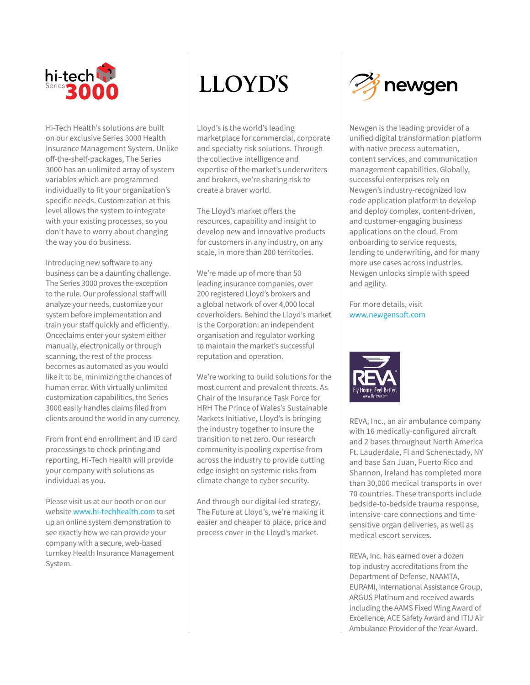

Hi-Tech Health's solutions are built on our exclusive Series 3000 Health Insurance Management System. Unlike off-the-shelf-packages, The Series 3000 has an unlimited array of system variables which are programmed individually to fit your organization's specific needs. Customization at this level allows the system to integrate with your existing processes, so you don't have to worry about changing the way you do business.

Introducing new software to any business can be a daunting challenge. The Series 3000 proves the exception to the rule. Our professional staff will analyze your needs, customize your system before implementation and train your staff quickly and efficiently. Onceclaims enter your system either manually, electronically or through scanning, the rest of the process becomes as automated as you would like it to be, minimizing the chances of human error. With virtually unlimited customization capabilities, the Series 3000 easily handles claims filed from clients around the world in any currency.

From front end enrollment and ID card processings to check printing and reporting, Hi-Tech Health will provide your company with solutions as individual as you.

Please visit us at our booth or on our website www.hi-techhealth.com to set up an online system demonstration to see exactly how we can provide your company with a secure, web-based turnkey Health Insurance Management System.

## **LLOYD'S**

Lloyd's is the world's leading marketplace for commercial, corporate and specialty risk solutions. Through the collective intelligence and expertise of the market's underwriters and brokers, we're sharing risk to create a braver world.

The Lloyd's market offers the resources, capability and insight to develop new and innovative products for customers in any industry, on any scale, in more than 200 territories.

We're made up of more than 50 leading insurance companies, over 200 registered Lloyd's brokers and a global network of over 4,000 local coverholders. Behind the Lloyd's market is the Corporation: an independent organisation and regulator working to maintain the market's successful reputation and operation.

We're working to build solutions for the most current and prevalent threats. As Chair of the Insurance Task Force for HRH The Prince of Wales's Sustainable Markets Initiative, Lloyd's is bringing the industry together to insure the transition to net zero. Our research community is pooling expertise from across the industry to provide cutting edge insight on systemic risks from climate change to cyber security.

And through our digital-led strategy, The Future at Lloyd's, we're making it easier and cheaper to place, price and process cover in the Lloyd's market.



Newgen is the leading provider of a unified digital transformation platform with native process automation, content services, and communication management capabilities. Globally, successful enterprises rely on Newgen's industry-recognized low code application platform to develop and deploy complex, content-driven, and customer-engaging business applications on the cloud. From onboarding to service requests, lending to underwriting, and for many more use cases across industries. Newgen unlocks simple with speed and agility.

For more details, visit www.newgensoft.com



REVA, Inc., an air ambulance company with 16 medically-configured aircraft and 2 bases throughout North America Ft. Lauderdale, Fl and Schenectady, NY and base San Juan, Puerto Rico and Shannon, Ireland has completed more than 30,000 medical transports in over 70 countries. These transports include bedside-to-bedside trauma response, intensive-care connections and timesensitive organ deliveries, as well as medical escort services.

REVA, Inc. has earned over a dozen top industry accreditations from the Department of Defense, NAAMTA, EURAMI, International Assistance Group, ARGUS Platinum and received awards including the AAMS Fixed Wing Award of Excellence, ACE Safety Award and ITIJ Air Ambulance Provider of the Year Award.